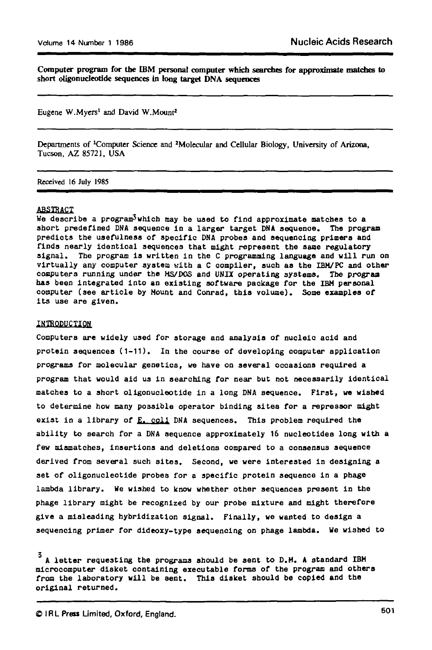**Computer program for the IBM personal computer which searches for approximate matches to short oligonucleotide sequences in long target DNA sequences**

Eugene W.Myers<sup>1</sup> and David W.Mount<sup>2</sup>

Departments of •Computer Science and "Molecular and Cellular Biology, University of Arizona, Tucson, AZ 85721, USA

**Received 16 July 1985**

### **ABSTRACT**

**We describe a program^which may be used to find approximate matches to a short predefined DNA sequence in a larger target DNA sequence. The program predlots the usefulness of specific DNA probes and sequencing primers and finds nearly identioal sequences that might represent the same regulatory signal. Tbe program is written in the C programming language and will run on virtually any computer system with a C compiler, such as the IBM/PC and other computers running under the MS/DOS and UNIX operating systems. The program has been integrated into an existing software package for the IBM personal computer (see article by Mount and Conrad, this volume). Some examples of its use are given.**

#### **INTRODUCTION**

**Computers are widely used for storage and analysis of nucleic acid and protein sequences (1-11). In the course of developing computer application programs for molecular genetics, we have on several occasions required a program that would aid us in searching for near but not necessarily identical matches to a short oligonucleotide in a long DNA sequence. First, we wished to determine how many possible operator binding sites for a repressor might exist in a library of E. coll DNA sequences. This problem required the ability to search for a DNA sequence approximately 16 nucleotides long with a few mismatches, insertions and deletions compared to a consensus sequence derived from several such sites. Second, we were interested in designing a set of oligonucleotide probes for a specific protein sequence in a phage lambda library. We wished to know whether other sequences present in the phage library might be recognized by our probe mixture and might therefore give a misleading hybridization signal. Finally, we wanted to design a sequencing primer for dideoxy-type sequencing on phage lambda. We wished to**

**A letter requesting the programs should be sent to D.M. A standard IBM microcomputer disket containing executable forms of the program and others from the laboratory will be sent. This disket should be copied and the original returned.**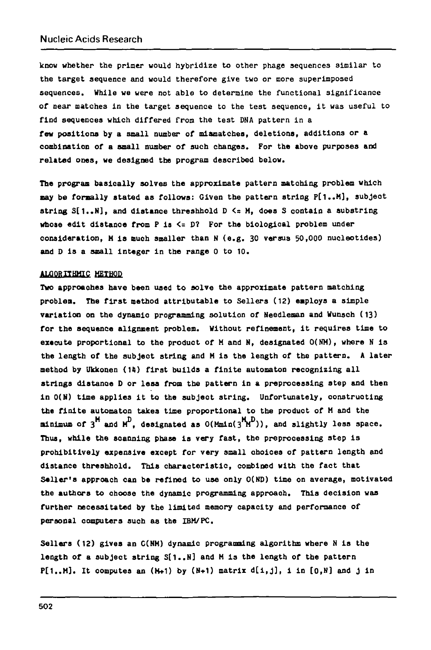**know whether the primer would hybridize to other phago sequences similar to the target sequence and would therefore give two or more superimposed sequences. While we were not able to determine the functional significance of near matches in the target sequence to the test sequence, it was useful to find sequences which differed from the te3t DNA pattern in a few positions by a small number of mismatches, deletions, additions or a combination of a small number of such changes. For the above purposes and related ones, we designed the program described below.**

**The program basically solves the approximate pattern matching problem which may be formally stated as follows: Given the pattern string P[1..M], subjeot string S[1..N], and distance threshbold D <= M, does S contain a substring whose edit distance from P is <= D? For the biological problem under consideration, M is ouch smaller than N (e.g. 30 versus 50,000 nucleotides) and D is a small integer in the range 0 to 10.**

# **ALQOBITHMIC HETBOD**

**Two approaches have been used to solve the approximate pattern matching problem. The first method attributable to Sellers (12) employs a simple variation on the dynamio programming solution of Needleman and Wunsch (13) for the sequence alignment problem. Without refinement, it requires time to execute proportional to the product of M and N, designated 0(NH), where N is the length of the subjeot string and H is the length of the pattern. A later method by Ukkonen (14) first builds a finite automaton recognizing all strings distance D or less from the pattern in a preprocessing step and then in 0(N) time applies it to the subjeot string. Unfortunately, constructing the finite automaton takes time proportional to the produot of H and the**  $min_{\text{min}}$  of  $3^{\text{H}}$  and  $\text{H}^{\text{D}}$ , designated as  $0(\text{Mm1n}(3^{\text{H}}\text{F})))$ , and slightly less space. **Thus, while the scanning phase is very fast, the preprocessing step is prohibitively expensive except for very small choices of pattern length and distance threshhold. This characteristic, combined with the fact that Sailer's approach can be refined to use only O(ND) time on average, motivated the authors to choose the dynamic programming approaoh. This decision was further necessitated by the limited memory capacity and performance of personal oomputers such aa the IBM/PC.**

**Sellers (12) gives an C(NM) dynamic programming algorithm where N is the length of a subject string S[1..N] and H is the length of the pattern P[1..H]. It oomputes an (H+1) by (H+1) matrix d[i,J], 1 in [0,N] and J in**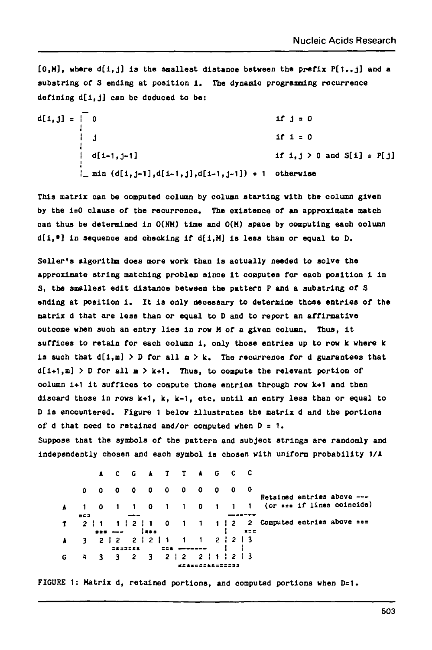**[0,H], wbere d[i,j] is tbs smallest dlstanoe between the prefix P[1..J] and a** substring of S ending at position i. The dynamic programming recurrence **defining d[i,J] can be deduced to be:**

d[i,j] = 
$$
\begin{bmatrix} 0 & \text{if } j = 0 \\ \vdots & \vdots \\ d[i-1,j-1] & \text{if } i = 0 \end{bmatrix}
$$
  
\n $\begin{bmatrix} d[i-1,j-1] & \text{if } i,j > 0 \text{ and } S[i] = P[j] \\ \vdots & \vdots \\ d[i,j-1], d[i-1,j], d[i-1,j-1]) + 1 & \text{otherwise} \end{bmatrix}$ 

**This matrix oan be computed column by colunn starting with the oolumn given by the i=0 clause of the recurrence. The existence of an approximate match oan thus be determined in O(NH) time and 0(M) spaoe by oomputing each column d[i,\*] in sequenoe and checking if d[l,M] is less than or equal to D.**

**Seller's algorithn does more work than is aotually needed to solve the approximate string matching problem since it coaputes for eaoh position 1 in S, the smallest edit distance between the pattern P and a substring of S ending at position i. It is only necessary to determine those entries of the matrix d that are less than or equal to D and to report an affirmative outcome when suoh an entry lies in row M of a given column. Thus, it suffices to retain for each column i, only those entries up to row k where k** is such that  $d[i,m] > D$  for all  $m > k$ . The recurrence for d guarantees that **d[i+1,m] > D for all a > k+1. Thus, to compute the relevant portion of oolumn i+1 it suffices to compute those entries through row k+1 and then discard those in rows k+1, k, k-1, etc. until an entry less than or equal to D is encountered. Figure 1 below illustrates the matrix d and the portions of d that need to retained and/or computed when D = 1.**

**Suppose that the symbols of the pattern and subjeot strings are randomly and independently chosen and each symbol is chosen with uniform probability 1/4**

|   |                               |                                                                                                                                                                                                                                                                                                                                                     |                |  |                    | A C G A T T A G C C                                                |  |  |                            |                                                                        |
|---|-------------------------------|-----------------------------------------------------------------------------------------------------------------------------------------------------------------------------------------------------------------------------------------------------------------------------------------------------------------------------------------------------|----------------|--|--------------------|--------------------------------------------------------------------|--|--|----------------------------|------------------------------------------------------------------------|
|   |                               |                                                                                                                                                                                                                                                                                                                                                     |                |  |                    | $0\quad 0\quad 0\quad 0\quad 0\quad 0\quad 0\quad 0\quad 0\quad 0$ |  |  | Retained entries above --- |                                                                        |
|   |                               |                                                                                                                                                                                                                                                                                                                                                     |                |  |                    |                                                                    |  |  |                            | $A$ 1 0 1 1 0 1 1 0 1 1 1 (or see if lines coincide)                   |
|   | 드드크                           |                                                                                                                                                                                                                                                                                                                                                     |                |  |                    |                                                                    |  |  |                            |                                                                        |
|   |                               |                                                                                                                                                                                                                                                                                                                                                     |                |  |                    |                                                                    |  |  |                            | $1 \t2 \t1 \t1 \t2 \t1 \t0 \t1 \t1 \t2 \t2$ Computed entries above === |
|   |                               | $\overline{z}$ = $\overline{z}$ = $\overline{z}$ = $\overline{z}$ = $\overline{z}$ = $\overline{z}$ = $\overline{z}$ = $\overline{z}$ = $\overline{z}$ = $\overline{z}$ = $\overline{z}$ = $\overline{z}$ = $\overline{z}$ = $\overline{z}$ = $\overline{z}$ = $\overline{z}$ = $\overline{z}$ = $\overline{z}$ = $\overline{z}$ = $\overline{z}$ = |                |  |                    |                                                                    |  |  |                            |                                                                        |
|   | A 3 2 2 2 2 2 2 1 1 1 2 2 2 3 |                                                                                                                                                                                                                                                                                                                                                     |                |  |                    |                                                                    |  |  |                            |                                                                        |
|   |                               |                                                                                                                                                                                                                                                                                                                                                     | <b>SESSEER</b> |  | <b>EDR APPLIED</b> |                                                                    |  |  |                            |                                                                        |
| G | 4 3 3 2 3 2 2 2 1 2 2 3       |                                                                                                                                                                                                                                                                                                                                                     |                |  |                    |                                                                    |  |  |                            |                                                                        |
|   |                               |                                                                                                                                                                                                                                                                                                                                                     |                |  |                    |                                                                    |  |  |                            |                                                                        |

**FIGURE 1: Matrix d, retained portions, and computed portions when Del.**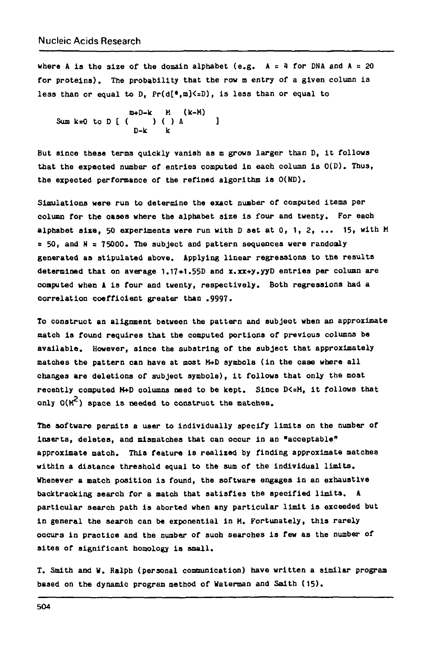where A is the size of the domain alphabet  $(e.g. A = 4$  for DNA and  $A = 20$ **for proteins). The probability that the row m entry of a given column is less than or equal to D, Pr(d[\*,m]<=D), is less than or equal to**

**m+D-k M (Ic-M) Sum k=0 to D [ ( ) ( ) A ] D-k k**

**But since these terms quickly vanish as m grows larger than 0, it follows that the expeoted number of entries computed in each column is 0(D). Thus, the expected performance of the refined algorithm is 0(HD).**

**Simulations were run to determine the exact number of computed items per column for the oases where the alphabet size is four and twenty. For each alphabet alia, 50 experiments were run with D set atO, 1, 2, ... 15, with H » 50, and N = 75000. The subject and pattern sequences were randonly generated as stipulated above. Applying linear regressions to the results determined that on average 1.17+1.55D and x.xx+y.yyD entries per column are computed when A is four and twenty, respectively. Both regressions had a correlation coefficient greater than .9997.**

**To construct an alignment between the pattern and subject when an approximate match is found requires that the computed portions of previous columns be available. However, since the substring of the subject that approximately matches the pattern can have at most W+D symbols (in the case where all changes are deletions of subjeot symbols), it follows that only the moat** recently computed M+D columns need to be kept. Since D<=H, it follows that **only O(M^) space is needed to construct the matches.**

**The software permits a user to individually specify limits on the number of inserts, deletes, and mismatches that can occur in an "acceptable" approximate match. This feature is realixed by finding approximate Batches within a distance threshold equal to the sum of the individual limits. Whenever a match position is found, the software engages in an exhaustive backtracking search for a match that satisfies the specified limits. A particular search path is aborted when any particular limit is exceeded but in general the searoh can be exponential In H. Fortunately, this rarely occurs in practice and the number of such searohes is few as the number of sites of significant homology is small.**

**T. Smith and V. Ralph (personal communication) have written a similar program based on the dynamic program method of Waterman and Smith (15).**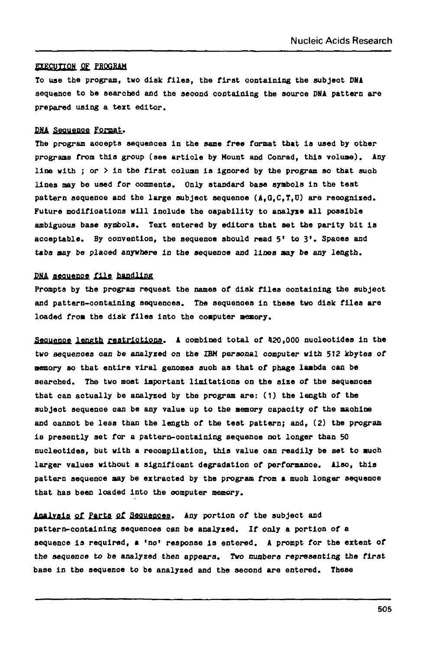#### **EXECUTION OF PROGRAM**

**To use the program, two disk files, the first containing the subject DMA sequence to be searched and the second containing the source DHA pattern are prepared using a text editor.**

# **DMA Sequence Format.**

**The program accepts sequences in the same free format that is used by other programs from this group (see artiole by Mount and Conrad, this volume). Any line with ; or > in the first oolumn is ignored by the program so that suoh lines may be used for comments. Only standard base symbols in the test pattern sequenoe and the large subject sequenoe (A,O,C,T,U) are recognized. Future modifications will inolude the capability to analyse all possible ambiguous base symbols. Text entered by editors that set the parity bit is acceptable. By convention, the sequenoe should read 5' to 3\*. Spaces and tabs may be plaoed anywhere in the sequenoe and lines may be any length.**

### **DMA aeouenoe file handling**

**Prompts by the program request the names of disk files containing the subject and pattern-containing sequences. The sequenoes in these two disk files are loaded from the disk files into the computer aeaory.**

**Seouenoe lonprtb restrictions. A oombined total of 420,000 nucleotides in the two sequenoes can be analyzed on the IBM personal computer with 512 kbytes of memory so that entire viral genomes suoh as that of phage lambda can be searched. The two most important limitations on the size of the sequenoes that can actually be analyzed by the program are: (1) the length of the subject sequenoe can be any value up to the memory capacity of the machine and oannot be less than the length of the test pattern; and, (2) the program is presently set for a pattern-containing sequence not longer than 50 nucleotides, but with a reooapllatlon, this value can readily be set to much larger values without a significant degradation of performance. Also, this pattern sequence may be extracted by the program from a muoh longer sequence that has been loaded into the oomputer memory.**

Analysis of Parts of Sequences. Any portion of the subject and **pattern-containing sequenoes can be analyzed. If only a portion of a sequence is required, a 'no\* response is entered. A prompt for the extent of the sequence to be analyzed then appears. Two numbers representing the first base in the sequenoe to be analyzed and the second are entered. These**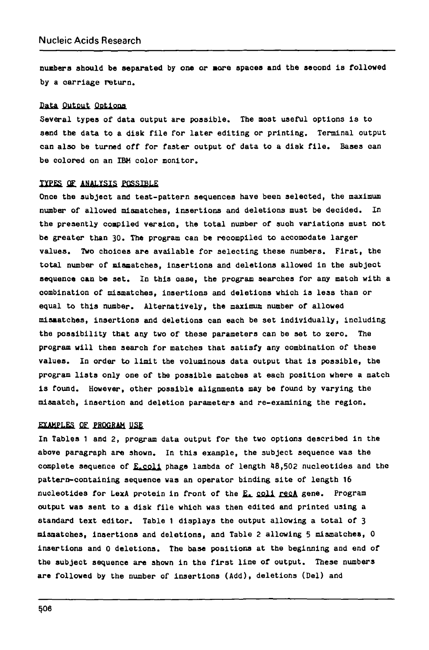**numbers should be separated by one or sor e spaces and the second i s followed by a carriage return.**

### **Data Output Options**

**Several types of data output are possible . The most useful options i s to** send the data to a disk file for later editing or printing. Terminal output **can als o be turned off for faste r output of data to a disk file . Bases can be colored on an IBM color monitor.**

## **TYPES OF ANALYSIS POSSIBLE**

Once the subject and test-pattern sequences have been selected, the maximum **number of allowed mismatches, insertion s and deletions must be decided. In** the presently compiled version, the total number of such variations must not be greater than 30. The program can be recompiled to accomodate larger **values. Two choice s are availabl e for selectin g these numbers. First, the tota l number of miaoatches, insertion s and deletions allowed in the subjec t sequence can be set. In this oase , the program searches for any match with a combination of mismatches, insertion s and deletions which is less than or equal to this number. Alternatively , the maximum number of allowed mismatches, insertion s and deletions can each be se t individually , including the possibilit y that any two of these parameters can be se t to zero . The program wil l then search for matches that satisf y any combination of thes e values. In order to limit the voluminous data output that i s possible , the program list s only one of the possibl e matches at each position where a match i s found. However, other possibl e alignments may be found by varying the mismatch, insertio n and deletion parameters and re-examining the region.**

### **EXAMPLES OF PROGRAM USE**

**In Tables 1 and 2, program data output for the two options described in the above paragraph are shown. In this example, the subject sequence was the complete sequence of E.col i phage lambda of length 48,502 nucleotide s and the** pattern-containing sequence was an operator binding site of length 16 **nucleotide s for LexA protein i n front of the £\*. col l recA gene. Program output was sent to a disk fil e which was then edited and printed using a standard tex t editor . Table 1 display s the output allowing a tota l of 3 mismatches, insertion s and deletions, and Table 2 allowing 5 mismatches, 0 insertions and 0 deletions. The base positions at the beginning and end of the subjec t sequence are shown in the first lin e of output. These numbers** are followed by the number of insertions (Add), deletions (Del) and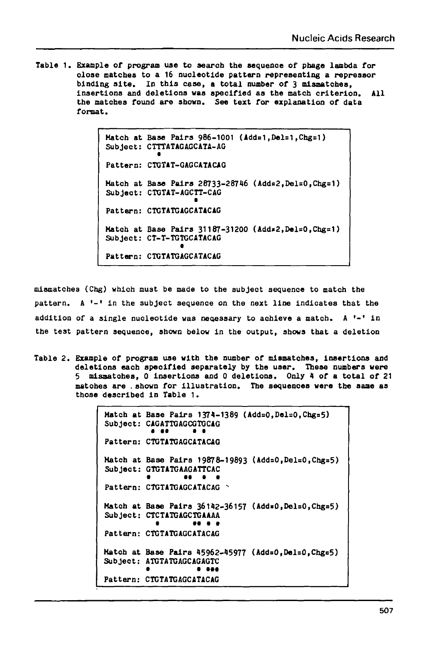**Table 1. Example of program use to search the sequence of phage lambda for olos e matches to a 16 nuoleotide pattern representing a represser binding site . In this case , a tota l number of 3 mismatches, insertions and deletions was specified as the match criterion . All the matches found are shown. See text for explanation of data format.**

> **Hatch at Base Pairs 986-1001 (Addni,Del=1,Chg=1) Subject: CTTTATAGAGCATA-AG Pattern: CTGTAT-GAGCATACAG Hatch at Base Pairs 26733-28746 (Addo2,Del=0,Chg=1) Subject: CTGTAT-AGCTT-CAG • Pattern: CTGTATGAGCATACAG** Match at Base Pairs 31187-31200 (Add\*2, Del=0, Chg=1) **Subject: CT-T-TGTGCATACAG Pattern: CTGTATGAGCATACAG**

**mismatches (Chg) which must be made to the subject sequence to match the pattern. A '- ' in the subjec t sequence on the next lin e indicate s that the addition of a singl e nucleotlde was necessary to achieve a match. A '- ' in the test pattern sequence, shown below in the output, shows that a deletion**

**Table 2 . Example of program use with the number of mismatches, insertions and deletions each speoified separately by the user. These numbers were 5 misaatohes, 0 insertions and 0 deletions. Only 4 of a tota l of 21 matohes are . shown for illustration . The sequenoes were the sane as those described in Table 1.**

> Hatch at Base Pairs 1374-1389 (Add=0,Del=0,Chg=5) **Subjeot: CAGATTGAGCGTGCAG • • • it Pattern: CTGTATGAGCATACAG** Hatch at Base Pairs 19878-19893 (Add=0,Del=0,Chg=5) Subject: GTGTATGAAGATTCAC **• •• • • Pattern: CTGTATOAGCATACAG - Hatch at Base Pairs 36142-36157 (Add«0,Del=0,Chgn5) Subject: CTCTATGAGCTGAAAA t • • i • Pattern: CTGTATGAGCATACAG Hatch at Base Pairs 45962-45977 (AddnO,Del=0,Cng=5) Subject: ATGTATGAGCAGAGTC • i •## Pattern : CTGTATGAGCATACAG**